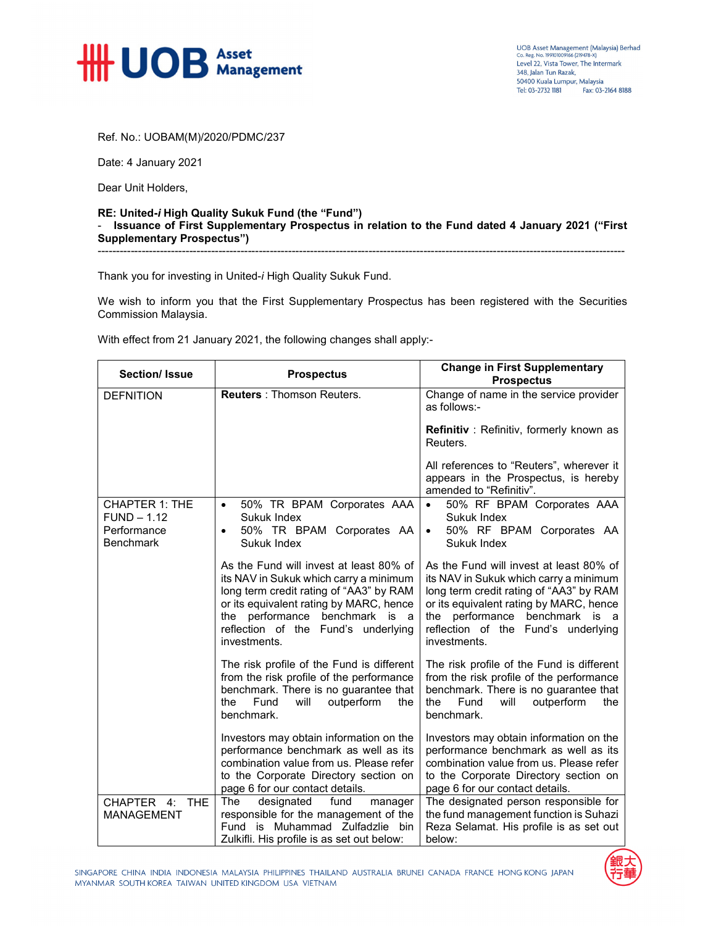

UOB Asset Management (Malaysia) Berhad<br>Co. Reg. No. 199101009166 (219478-X)<br>Level 22, Vista Tower, The Intermark 348, Jalan Tun Razak, 50400 Kuala Lumpur, Malaysia Tel: 03-2732 1181 Fax: 03-2164 8188

Ref. No.: UOBAM(M)/2020/PDMC/237

Date: 4 January 2021

Dear Unit Holders,

## **RE: United-***i* **High Quality Sukuk Fund (the "Fund")**  - **Issuance of First Supplementary Prospectus in relation to the Fund dated 4 January 2021 ("First Supplementary Prospectus")**

------------------------------------------------------------------------------------------------------------------------------------------------

Thank you for investing in United-*i* High Quality Sukuk Fund.

We wish to inform you that the First Supplementary Prospectus has been registered with the Securities Commission Malaysia.

With effect from 21 January 2021, the following changes shall apply:-

| <b>Section/ Issue</b>                                                     | <b>Prospectus</b>                                                                                                                                                                                                                                                   | <b>Change in First Supplementary</b><br><b>Prospectus</b>                                                                                                                                                                                                           |
|---------------------------------------------------------------------------|---------------------------------------------------------------------------------------------------------------------------------------------------------------------------------------------------------------------------------------------------------------------|---------------------------------------------------------------------------------------------------------------------------------------------------------------------------------------------------------------------------------------------------------------------|
| <b>DEFNITION</b>                                                          | <b>Reuters: Thomson Reuters.</b>                                                                                                                                                                                                                                    | Change of name in the service provider<br>as follows:-                                                                                                                                                                                                              |
|                                                                           |                                                                                                                                                                                                                                                                     | Refinitiv: Refinitiv, formerly known as<br>Reuters.                                                                                                                                                                                                                 |
|                                                                           |                                                                                                                                                                                                                                                                     | All references to "Reuters", wherever it<br>appears in the Prospectus, is hereby<br>amended to "Refinitiv".                                                                                                                                                         |
| <b>CHAPTER 1: THE</b><br>$FUND - 1.12$<br>Performance<br><b>Benchmark</b> | 50% TR BPAM Corporates AAA<br>$\bullet$<br>Sukuk Index<br>50% TR BPAM Corporates AA<br>$\bullet$<br>Sukuk Index                                                                                                                                                     | 50% RF BPAM Corporates AAA<br>Sukuk Index<br>50% RF BPAM Corporates AA<br>$\bullet$<br>Sukuk Index                                                                                                                                                                  |
|                                                                           | As the Fund will invest at least 80% of<br>its NAV in Sukuk which carry a minimum<br>long term credit rating of "AA3" by RAM<br>or its equivalent rating by MARC, hence<br>the performance<br>benchmark is a<br>reflection of the Fund's underlying<br>investments. | As the Fund will invest at least 80% of<br>its NAV in Sukuk which carry a minimum<br>long term credit rating of "AA3" by RAM<br>or its equivalent rating by MARC, hence<br>the performance<br>benchmark is a<br>reflection of the Fund's underlying<br>investments. |
|                                                                           | The risk profile of the Fund is different<br>from the risk profile of the performance<br>benchmark. There is no guarantee that<br>the<br>Fund<br>will<br>outperform<br>the<br>benchmark.                                                                            | The risk profile of the Fund is different<br>from the risk profile of the performance<br>benchmark. There is no guarantee that<br>Fund<br>will<br>outperform<br>the<br>the.<br>benchmark.                                                                           |
|                                                                           | Investors may obtain information on the<br>performance benchmark as well as its<br>combination value from us. Please refer<br>to the Corporate Directory section on<br>page 6 for our contact details.                                                              | Investors may obtain information on the<br>performance benchmark as well as its<br>combination value from us. Please refer<br>to the Corporate Directory section on<br>page 6 for our contact details.                                                              |
| CHAPTER 4:<br><b>THE</b><br><b>MANAGEMENT</b>                             | The<br>designated<br>fund<br>manager<br>responsible for the management of the<br>Fund is Muhammad Zulfadzlie bin<br>Zulkifli. His profile is as set out below:                                                                                                      | The designated person responsible for<br>the fund management function is Suhazi<br>Reza Selamat. His profile is as set out<br>below:                                                                                                                                |